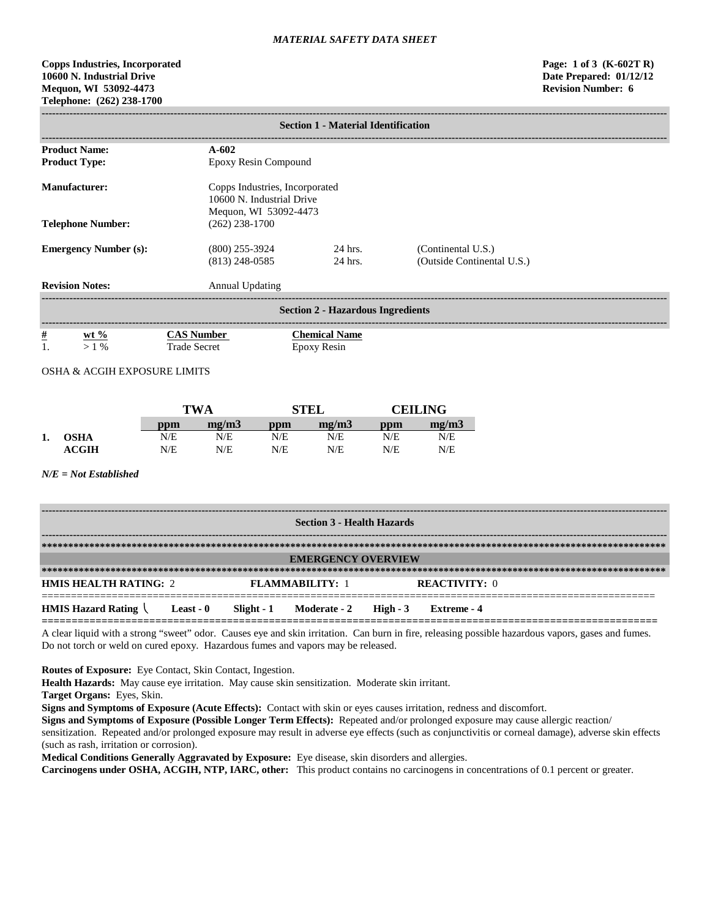# **Copps Industries, Incorporated Page: 1 of 3 (K-602T R) 10600 N. Industrial Drive Date Prepared: 01/12/12 Mequon, WI 53092-4473 Revision Number: 6 Telephone: (262) 238-1700**

|                                                                                                       | <b>Section 1 - Material Identification</b> |                                     |                                                  |  |  |  |  |
|-------------------------------------------------------------------------------------------------------|--------------------------------------------|-------------------------------------|--------------------------------------------------|--|--|--|--|
| <b>Product Name:</b>                                                                                  | $A - 602$                                  |                                     |                                                  |  |  |  |  |
| <b>Product Type:</b>                                                                                  | Epoxy Resin Compound                       |                                     |                                                  |  |  |  |  |
| Manufacturer:<br>Copps Industries, Incorporated<br>10600 N. Industrial Drive<br>Mequon, WI 53092-4473 |                                            |                                     |                                                  |  |  |  |  |
| <b>Telephone Number:</b>                                                                              | $(262)$ 238-1700                           |                                     |                                                  |  |  |  |  |
| <b>Emergency Number (s):</b>                                                                          | $(800)$ 255-3924<br>$(813)$ 248-0585       | 24 hrs.<br>24 hrs.                  | (Continental U.S.)<br>(Outside Continental U.S.) |  |  |  |  |
| <b>Revision Notes:</b>                                                                                | <b>Annual Updating</b>                     |                                     |                                                  |  |  |  |  |
| <b>Section 2 - Hazardous Ingredients</b>                                                              |                                            |                                     |                                                  |  |  |  |  |
| $\frac{\#}{1}$<br>$ext{w}t\%$<br>$>1\%$                                                               | <b>CAS Number</b><br><b>Trade Secret</b>   | <b>Chemical Name</b><br>Epoxy Resin |                                                  |  |  |  |  |

# OSHA & ACGIH EXPOSURE LIMITS

|    |                  | <b>TWA</b> |       | <b>STEL</b> |       | <b>CEILING</b> |       |
|----|------------------|------------|-------|-------------|-------|----------------|-------|
|    |                  | ppm        | me/m3 | ppm         | mg/m3 | ppm            | mg/m3 |
| 1. | <b>OSHA</b>      | N/E        | N/E   | N/E         | N/E   | N/E            | N/E   |
|    | $\mathbf{ACGIH}$ | N/E        | N/E   | N/E         | N/E   | N/E            | N/E   |

## *N/E = Not Established*

| <b>Section 3 - Health Hazards</b>              |           |  |                                    |  |                      |  |
|------------------------------------------------|-----------|--|------------------------------------|--|----------------------|--|
|                                                |           |  |                                    |  |                      |  |
|                                                |           |  | <b>EMERGENCY OVERVIEW</b>          |  |                      |  |
|                                                |           |  |                                    |  |                      |  |
| <b>HMIS HEALTH RATING: 2</b>                   |           |  | <b>FLAMMARILITY: 1</b>             |  | <b>REACTIVITY: 0</b> |  |
| <b>HMIS Hazard Rating <math>\langle</math></b> | Least - 0 |  | $Slight - 1$ Moderate - 2 High - 3 |  | Extreme - 4          |  |

A clear liquid with a strong "sweet" odor. Causes eye and skin irritation. Can burn in fire, releasing possible hazardous vapors, gases and fumes. Do not torch or weld on cured epoxy. Hazardous fumes and vapors may be released.

**Routes of Exposure:** Eye Contact, Skin Contact, Ingestion.

**Health Hazards:** May cause eye irritation. May cause skin sensitization. Moderate skin irritant.

**Target Organs:** Eyes, Skin.

**Signs and Symptoms of Exposure (Acute Effects):** Contact with skin or eyes causes irritation, redness and discomfort.

**Signs and Symptoms of Exposure (Possible Longer Term Effects):** Repeated and/or prolonged exposure may cause allergic reaction/

sensitization. Repeated and/or prolonged exposure may result in adverse eye effects (such as conjunctivitis or corneal damage), adverse skin effects (such as rash, irritation or corrosion).

**Medical Conditions Generally Aggravated by Exposure:** Eye disease, skin disorders and allergies.

**Carcinogens under OSHA, ACGIH, NTP, IARC, other:** This product contains no carcinogens in concentrations of 0.1 percent or greater.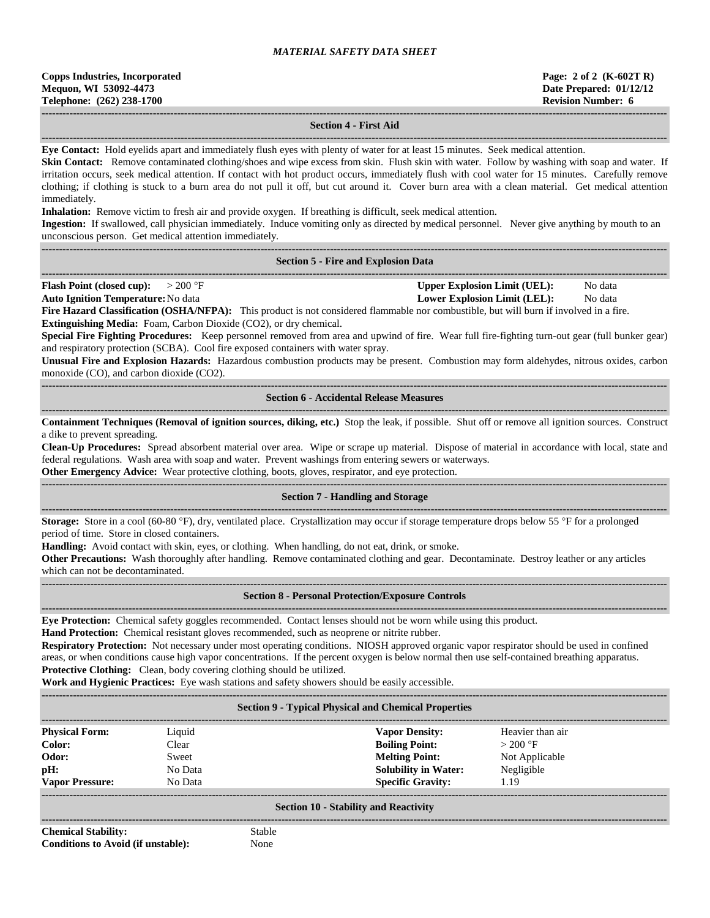| <b>Copps Industries, Incorporated</b> |  |  |  |  |
|---------------------------------------|--|--|--|--|
| Mequon, WI 53092-4473                 |  |  |  |  |
| Telephone: (262) 238-1700             |  |  |  |  |

#### **------------------------------------------------------------------------------------------------------------------------------------------------------------------------------------ Section 4 - First Aid**

**------------------------------------------------------------------------------------------------------------------------------------------------------------------------------------ Eye Contact:** Hold eyelids apart and immediately flush eyes with plenty of water for at least 15 minutes. Seek medical attention.

**Skin Contact:** Remove contaminated clothing/shoes and wipe excess from skin. Flush skin with water. Follow by washing with soap and water. If irritation occurs, seek medical attention. If contact with hot product occurs, immediately flush with cool water for 15 minutes. Carefully remove clothing; if clothing is stuck to a burn area do not pull it off, but cut around it. Cover burn area with a clean material. Get medical attention immediately.

**Inhalation:** Remove victim to fresh air and provide oxygen. If breathing is difficult, seek medical attention.

**Ingestion:** If swallowed, call physician immediately. Induce vomiting only as directed by medical personnel. Never give anything by mouth to an unconscious person. Get medical attention immediately.

#### **------------------------------------------------------------------------------------------------------------------------------------------------------------------------------------ Section 5 - Fire and Explosion Data**

**------------------------------------------------------------------------------------------------------------------------------------------------------------------------------------ Flash Point (closed cup):**  $> 200 \text{ }^{\circ}\text{F}$  **Upper Explosion Limit (UEL):** No data

**Auto Ignition Temperature:**No data **Lower Explosion Limit (LEL):** No data

**Fire Hazard Classification (OSHA/NFPA):** This product is not considered flammable nor combustible, but will burn if involved in a fire. **Extinguishing Media:** Foam, Carbon Dioxide (CO2), or dry chemical.

**Special Fire Fighting Procedures:** Keep personnel removed from area and upwind of fire. Wear full fire-fighting turn-out gear (full bunker gear) and respiratory protection (SCBA). Cool fire exposed containers with water spray.

**Unusual Fire and Explosion Hazards:** Hazardous combustion products may be present. Combustion may form aldehydes, nitrous oxides, carbon monoxide (CO), and carbon dioxide (CO2).

**------------------------------------------------------------------------------------------------------------------------------------------------------------------------------------ Section 6 - Accidental Release Measures**

**------------------------------------------------------------------------------------------------------------------------------------------------------------------------------------ Containment Techniques (Removal of ignition sources, diking, etc.)** Stop the leak, if possible. Shut off or remove all ignition sources. Construct a dike to prevent spreading.

**Clean-Up Procedures:** Spread absorbent material over area. Wipe or scrape up material. Dispose of material in accordance with local, state and federal regulations. Wash area with soap and water. Prevent washings from entering sewers or waterways.

**Other Emergency Advice:** Wear protective clothing, boots, gloves, respirator, and eye protection.

#### ------------------------------------------------------------------------------------------------------------------------------------------------------------------------------------ **Section 7 - Handling and Storage**

**------------------------------------------------------------------------------------------------------------------------------------------------------------------------------------ Storage:** Store in a cool (60-80 °F), dry, ventilated place. Crystallization may occur if storage temperature drops below 55 °F for a prolonged period of time. Store in closed containers.

**Handling:** Avoid contact with skin, eyes, or clothing. When handling, do not eat, drink, or smoke.

**Other Precautions:** Wash thoroughly after handling. Remove contaminated clothing and gear. Decontaminate. Destroy leather or any articles which can not be decontaminated.

**------------------------------------------------------------------------------------------------------------------------------------------------------------------------------------**

#### **------------------------------------------------------------------------------------------------------------------------------------------------------------------------------------ Section 8 - Personal Protection/Exposure Controls**

**Eye Protection:** Chemical safety goggles recommended. Contact lenses should not be worn while using this product.

**Hand Protection:** Chemical resistant gloves recommended, such as neoprene or nitrite rubber.

**Respiratory Protection:** Not necessary under most operating conditions. NIOSH approved organic vapor respirator should be used in confined areas, or when conditions cause high vapor concentrations. If the percent oxygen is below normal then use self-contained breathing apparatus. **Protective Clothing:** Clean, body covering clothing should be utilized.

**Work and Hygienic Practices:** Eye wash stations and safety showers should be easily accessible.

**------------------------------------------------------------------------------------------------------------------------------------------------------------------------------------**

## **Section 9 - Typical Physical and Chemical Properties**

| <b>Physical Form:</b>  | Liquid  | <b>Vapor Density:</b>       | Heavier than air |  |
|------------------------|---------|-----------------------------|------------------|--|
| Color:                 | Clear   | <b>Boiling Point:</b>       | $>200$ °F        |  |
| Odor:                  | Sweet   | <b>Melting Point:</b>       | Not Applicable   |  |
| pH:                    | No Data | <b>Solubility in Water:</b> | Negligible       |  |
| <b>Vapor Pressure:</b> | No Data | <b>Specific Gravity:</b>    | 1.19             |  |
|                        |         |                             |                  |  |

#### **Section 10 - Stability and Reactivity ------------------------------------------------------------------------------------------------------------------------------------------------------------------------------------**

**Chemical Stability:** Stable **Conditions to Avoid (if unstable):** None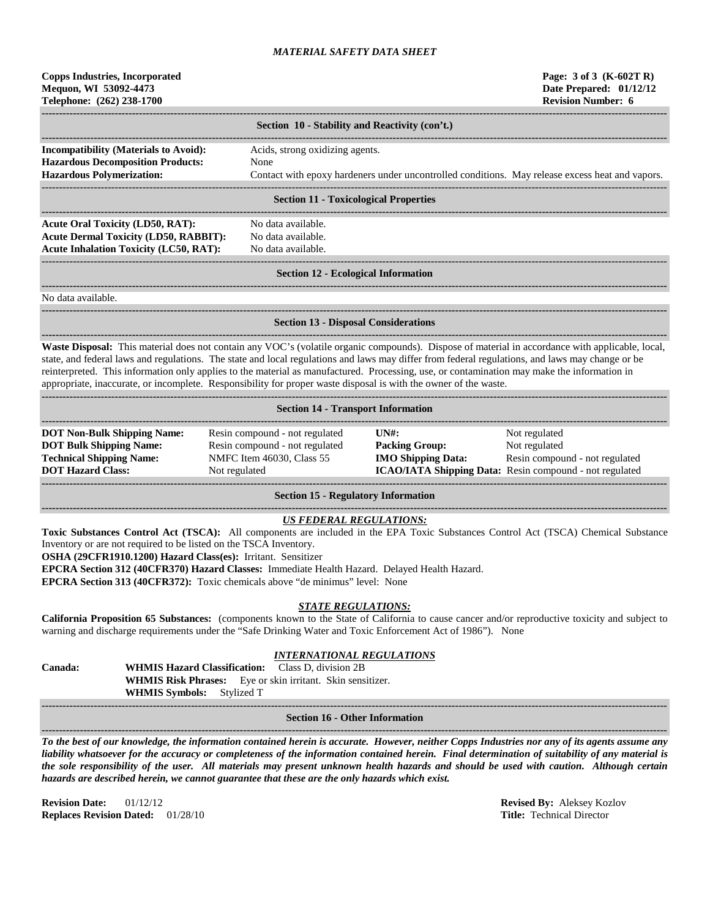| <b>Copps Industries, Incorporated</b> |  |  |  |  |
|---------------------------------------|--|--|--|--|
| Mequon, WI 53092-4473                 |  |  |  |  |
| Telephone: (262) 238-1700             |  |  |  |  |

|                                                                                                                              | Section 10 - Stability and Reactivity (con't.)                                                                                             |  |  |  |  |
|------------------------------------------------------------------------------------------------------------------------------|--------------------------------------------------------------------------------------------------------------------------------------------|--|--|--|--|
| <b>Incompatibility (Materials to Avoid):</b><br><b>Hazardous Decomposition Products:</b><br><b>Hazardous Polymerization:</b> | Acids, strong oxidizing agents.<br>None<br>Contact with epoxy hardeners under uncontrolled conditions. May release excess heat and vapors. |  |  |  |  |
| Section 11 - Tovicological Properties                                                                                        |                                                                                                                                            |  |  |  |  |

#### **Section 11 - Toxicological Properties**

**------------------------------------------------------------------------------------------------------------------------------------------------------------------------------------ Acute Oral Toxicity (LD50, RAT):** No data available. **Acute Dermal Toxicity (LD50, RABBIT):** No data available. **Acute Inhalation Toxicity (LC50, RAT):** No data available.

**------------------------------------------------------------------------------------------------------------------------------------------------------------------------------------**

# ------------------------------------------------------------------------------------------------------------------------------------------------------------------------------------

#### **Section 12 - Ecological Information**

**------------------------------------------------------------------------------------------------------------------------------------------------------------------------------------**

**------------------------------------------------------------------------------------------------------------------------------------------------------------------------------------**

No data available.

## **Section 13 - Disposal Considerations**

**------------------------------------------------------------------------------------------------------------------------------------------------------------------------------------ Waste Disposal:** This material does not contain any VOC's (volatile organic compounds). Dispose of material in accordance with applicable, local, state, and federal laws and regulations. The state and local regulations and laws may differ from federal regulations, and laws may change or be reinterpreted. This information only applies to the material as manufactured. Processing, use, or contamination may make the information in appropriate, inaccurate, or incomplete. Responsibility for proper waste disposal is with the owner of the waste.

| <b>Section 14 - Transport Information</b>                                                                                           |                                                                                                                |                                                                                     |                                                                                                                                    |  |  |  |
|-------------------------------------------------------------------------------------------------------------------------------------|----------------------------------------------------------------------------------------------------------------|-------------------------------------------------------------------------------------|------------------------------------------------------------------------------------------------------------------------------------|--|--|--|
| <b>DOT Non-Bulk Shipping Name:</b><br><b>DOT Bulk Shipping Name:</b><br><b>Technical Shipping Name:</b><br><b>DOT Hazard Class:</b> | Resin compound - not regulated<br>Resin compound - not regulated<br>NMFC Item 46030, Class 55<br>Not regulated | $\overline{I} \overline{N}$ :<br><b>Packing Group:</b><br><b>IMO Shipping Data:</b> | Not regulated<br>Not regulated<br>Resin compound - not regulated<br><b>ICAO/IATA Shipping Data:</b> Resin compound - not regulated |  |  |  |

**Section 15 - Regulatory Information**

## *US FEDERAL REGULATIONS:*

**Toxic Substances Control Act (TSCA):** All components are included in the EPA Toxic Substances Control Act (TSCA) Chemical Substance Inventory or are not required to be listed on the TSCA Inventory.

**OSHA (29CFR1910.1200) Hazard Class(es):** Irritant. Sensitizer

**EPCRA Section 312 (40CFR370) Hazard Classes:** Immediate Health Hazard. Delayed Health Hazard.

**EPCRA Section 313 (40CFR372):** Toxic chemicals above "de minimus" level: None

## *STATE REGULATIONS:*

**California Proposition 65 Substances:** (components known to the State of California to cause cancer and/or reproductive toxicity and subject to warning and discharge requirements under the "Safe Drinking Water and Toxic Enforcement Act of 1986"). None

# *INTERNATIONAL REGULATIONS*

**Canada: WHMIS Hazard Classification:** Class D, division 2B **WHMIS Risk Phrases:** Eye or skin irritant. Skin sensitizer. **WHMIS Symbols:** Stylized T

#### **------------------------------------------------------------------------------------------------------------------------------------------------------------------------------------ Section 16 - Other Information**

**------------------------------------------------------------------------------------------------------------------------------------------------------------------------------------** *To the best of our knowledge, the information contained herein is accurate. However, neither Copps Industries nor any of its agents assume any liability whatsoever for the accuracy or completeness of the information contained herein. Final determination of suitability of any material is the sole responsibility of the user. All materials may present unknown health hazards and should be used with caution. Although certain hazards are described herein, we cannot guarantee that these are the only hazards which exist.*

**Revision Date:** 01/12/12 **Revised By:** Aleksey Kozlov **Replaces Revision Dated:** 01/28/10 **Title:** Technical Director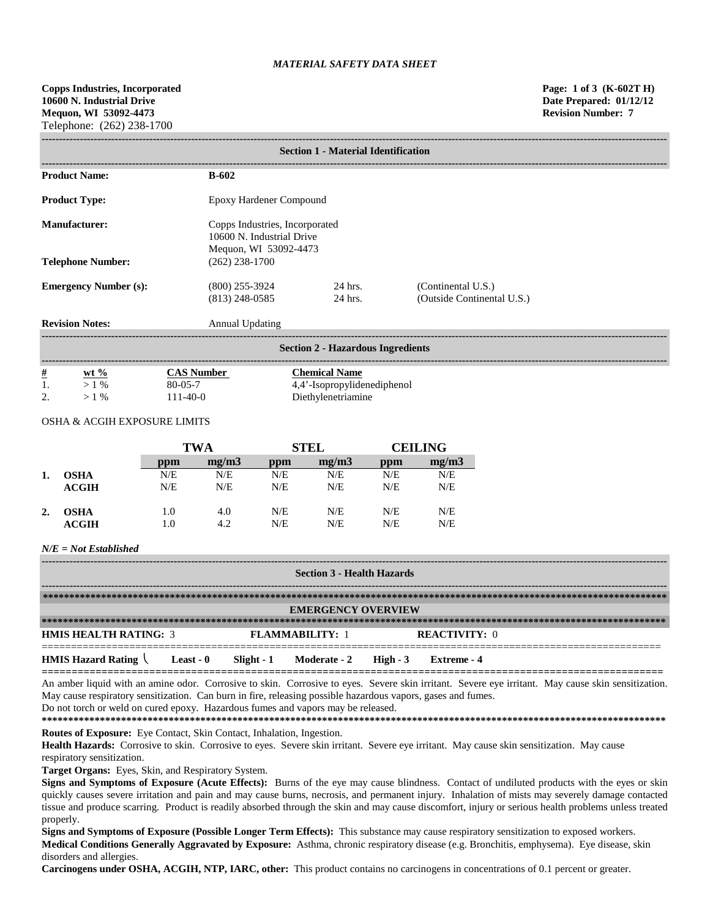| <b>Section 1 - Material Identification</b> |                                                                                      |                                 |                                                  |  |  |  |
|--------------------------------------------|--------------------------------------------------------------------------------------|---------------------------------|--------------------------------------------------|--|--|--|
| <b>Product Name:</b>                       | <b>B-602</b>                                                                         |                                 |                                                  |  |  |  |
| <b>Product Type:</b>                       | Epoxy Hardener Compound                                                              |                                 |                                                  |  |  |  |
| <b>Manufacturer:</b>                       | Copps Industries, Incorporated<br>10600 N. Industrial Drive<br>Mequon, WI 53092-4473 |                                 |                                                  |  |  |  |
| <b>Telephone Number:</b>                   | $(262)$ 238-1700                                                                     |                                 |                                                  |  |  |  |
| <b>Emergency Number (s):</b>               | $(800)$ 255-3924<br>$(813)$ 248-0585                                                 | 24 hrs.<br>24 hrs.              | (Continental U.S.)<br>(Outside Continental U.S.) |  |  |  |
| <b>Revision Notes:</b>                     | Annual Updating                                                                      |                                 |                                                  |  |  |  |
|                                            |                                                                                      | Soction 7 Hozordous Ingradiants |                                                  |  |  |  |

|   |         |                | <b>Section 2 - Hazardous Ingredients</b> |
|---|---------|----------------|------------------------------------------|
| # | $wt \%$ | CAS Number     | Chemical Name                            |
|   | $1\%$   | $80 - 05 - 7$  | 4,4'-Isopropylidenediphenol              |
|   | $\%$    | $111 - 40 - 0$ | Diethylenetriamine                       |

## OSHA & ACGIH EXPOSURE LIMITS

|    |             | <b>TWA</b> |       | <b>STEL</b> |       | <b>CEILING</b> |       |
|----|-------------|------------|-------|-------------|-------|----------------|-------|
|    |             | ppm        | mg/m3 | ppm         | mg/m3 | ppm            | mg/m3 |
| 1. | <b>OSHA</b> | N/E        | N/E   | N/E         | N/E   | N/E            | N/E   |
|    | ACGIH       | N/E        | N/E   | N/E         | N/E   | N/E            | N/E   |
| 2. | <b>OSHA</b> | 1.0        | 4.0   | N/E         | N/E   | N/E            | N/E   |
|    | ACGIH       | 1.0        | 4.2   | N/E         | N/E   | N/E            | N/E   |

## *N/E = Not Established*

| <b>Section 3 - Health Hazards</b> |           |             |                           |          |                      |
|-----------------------------------|-----------|-------------|---------------------------|----------|----------------------|
|                                   |           |             |                           |          |                      |
|                                   |           |             | <b>EMERGENCY OVERVIEW</b> |          |                      |
|                                   |           |             |                           |          |                      |
| <b>HMIS HEALTH RATING: 3</b>      |           |             | <b>FLAMMARILITY: 1</b>    |          | <b>REACTIVITY: 0</b> |
| <b>HMIS Hazard Rating</b>         | Least - 0 | Slight $-1$ | <b>Moderate - 2</b>       | $High-3$ | Extreme - 4          |

**========================================================================================================** An amber liquid with an amine odor. Corrosive to skin. Corrosive to eyes. Severe skin irritant. Severe eye irritant. May cause skin sensitization. May cause respiratory sensitization. Can burn in fire, releasing possible hazardous vapors, gases and fumes.

Do not torch or weld on cured epoxy. Hazardous fumes and vapors may be released.

**\*\*\*\*\*\*\*\*\*\*\*\*\*\*\*\*\*\*\*\*\*\*\*\*\*\*\*\*\*\*\*\*\*\*\*\*\*\*\*\*\*\*\*\*\*\*\*\*\*\*\*\*\*\*\*\*\*\*\*\*\*\*\*\*\*\*\*\*\*\*\*\*\*\*\*\*\*\*\*\*\*\*\*\*\*\*\*\*\*\*\*\*\*\*\*\*\*\*\*\*\*\*\*\*\*\*\*\*\*\*\*\*\*\*\*\*\*\***

**Routes of Exposure:** Eye Contact, Skin Contact, Inhalation, Ingestion.

Health Hazards: Corrosive to skin. Corrosive to eyes. Severe skin irritant. Severe eye irritant. May cause skin sensitization. May cause respiratory sensitization.

**Target Organs:** Eyes, Skin, and Respiratory System.

**Signs and Symptoms of Exposure (Acute Effects):** Burns of the eye may cause blindness. Contact of undiluted products with the eyes or skin quickly causes severe irritation and pain and may cause burns, necrosis, and permanent injury. Inhalation of mists may severely damage contacted tissue and produce scarring. Product is readily absorbed through the skin and may cause discomfort, injury or serious health problems unless treated properly.

**Signs and Symptoms of Exposure (Possible Longer Term Effects):** This substance may cause respiratory sensitization to exposed workers. **Medical Conditions Generally Aggravated by Exposure:** Asthma, chronic respiratory disease (e.g. Bronchitis, emphysema). Eye disease, skin disorders and allergies.

**Carcinogens under OSHA, ACGIH, NTP, IARC, other:** This product contains no carcinogens in concentrations of 0.1 percent or greater.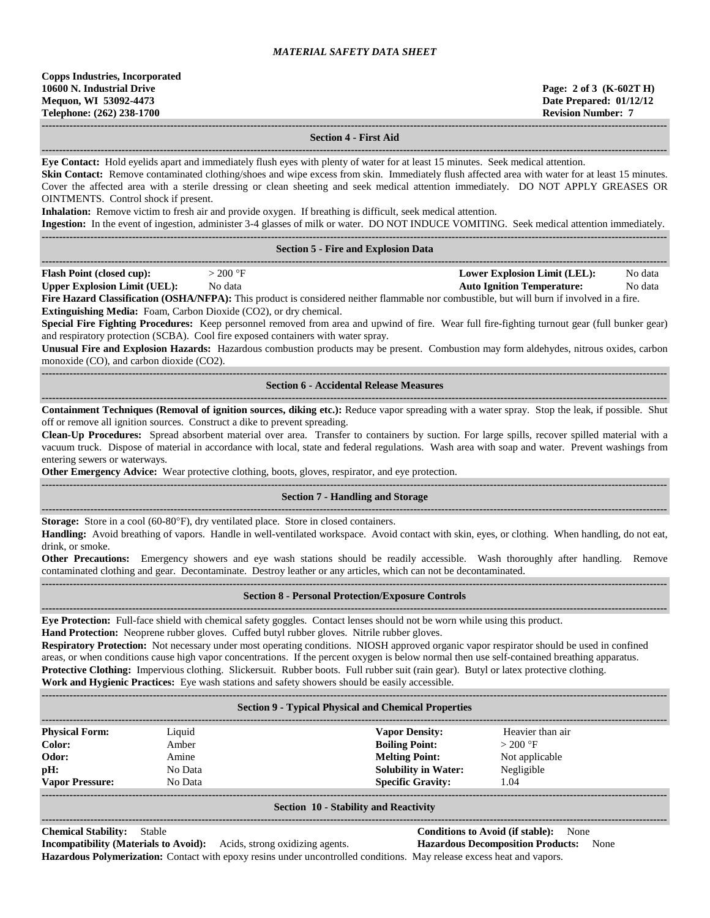**------------------------------------------------------------------------------------------------------------------------------------------------------------------------------------ Section 4 - First Aid ------------------------------------------------------------------------------------------------------------------------------------------------------------------------------------ Eye Contact:** Hold eyelids apart and immediately flush eyes with plenty of water for at least 15 minutes. Seek medical attention. **Skin Contact:** Remove contaminated clothing/shoes and wipe excess from skin. Immediately flush affected area with water for at least 15 minutes. Cover the affected area with a sterile dressing or clean sheeting and seek medical attention immediately. DO NOT APPLY GREASES OR OINTMENTS. Control shock if present. **Inhalation:** Remove victim to fresh air and provide oxygen. If breathing is difficult, seek medical attention. **Ingestion:** In the event of ingestion, administer 3-4 glasses of milk or water. DO NOT INDUCE VOMITING. Seek medical attention immediately. **------------------------------------------------------------------------------------------------------------------------------------------------------------------------------------ Section 5 - Fire and Explosion Data ------------------------------------------------------------------------------------------------------------------------------------------------------------------------------------ Flash Point (closed cup):**  $> 200 \text{ °F}$  **Lower Explosion Limit (LEL):** No data **Upper Explosion Limit (UEL):** No data **Auto Ignition Temperature:** No data **Fire Hazard Classification (OSHA/NFPA):** This product is considered neither flammable nor combustible, but will burn if involved in a fire. **Extinguishing Media:** Foam, Carbon Dioxide (CO2), or dry chemical. **Special Fire Fighting Procedures:** Keep personnel removed from area and upwind of fire. Wear full fire-fighting turnout gear (full bunker gear) and respiratory protection (SCBA). Cool fire exposed containers with water spray. **Unusual Fire and Explosion Hazards:** Hazardous combustion products may be present. Combustion may form aldehydes, nitrous oxides, carbon monoxide (CO), and carbon dioxide (CO2). **------------------------------------------------------------------------------------------------------------------------------------------------------------------------------------ Section 6 - Accidental Release Measures ------------------------------------------------------------------------------------------------------------------------------------------------------------------------------------ Containment Techniques (Removal of ignition sources, diking etc.):** Reduce vapor spreading with a water spray. Stop the leak, if possible. Shut off or remove all ignition sources. Construct a dike to prevent spreading. **Clean-Up Procedures:** Spread absorbent material over area. Transfer to containers by suction. For large spills, recover spilled material with a vacuum truck. Dispose of material in accordance with local, state and federal regulations. Wash area with soap and water. Prevent washings from entering sewers or waterways. **Other Emergency Advice:** Wear protective clothing, boots, gloves, respirator, and eye protection. **------------------------------------------------------------------------------------------------------------------------------------------------------------------------------------ Section 7 - Handling and Storage ------------------------------------------------------------------------------------------------------------------------------------------------------------------------------------ Storage:** Store in a cool (60-80°F), dry ventilated place. Store in closed containers. **Handling:** Avoid breathing of vapors. Handle in well-ventilated workspace. Avoid contact with skin, eyes, or clothing. When handling, do not eat, drink, or smoke. **Other Precautions:** Emergency showers and eye wash stations should be readily accessible. Wash thoroughly after handling. Remove contaminated clothing and gear. Decontaminate. Destroy leather or any articles, which can not be decontaminated. **------------------------------------------------------------------------------------------------------------------------------------------------------------------------------------ Section 8 - Personal Protection/Exposure Controls ------------------------------------------------------------------------------------------------------------------------------------------------------------------------------------ Eye Protection:** Full-face shield with chemical safety goggles. Contact lenses should not be worn while using this product. **Hand Protection:** Neoprene rubber gloves. Cuffed butyl rubber gloves. Nitrile rubber gloves. **Respiratory Protection:** Not necessary under most operating conditions. NIOSH approved organic vapor respirator should be used in confined areas, or when conditions cause high vapor concentrations. If the percent oxygen is below normal then use self-contained breathing apparatus. **Protective Clothing:** Impervious clothing. Slickersuit. Rubber boots. Full rubber suit (rain gear). Butyl or latex protective clothing. **Work and Hygienic Practices:** Eye wash stations and safety showers should be easily accessible. **------------------------------------------------------------------------------------------------------------------------------------------------------------------------------------ Section 9 - Typical Physical and Chemical Properties**

| <b>Physical Form:</b>  | Liquid  | <b>Vapor Density:</b>       | Heavier than air |  |
|------------------------|---------|-----------------------------|------------------|--|
| Color:                 | Amber   | <b>Boiling Point:</b>       | $>200$ °F        |  |
| Odor:                  | Amine   | <b>Melting Point:</b>       | Not applicable   |  |
| pH:                    | No Data | <b>Solubility in Water:</b> | Negligible       |  |
| <b>Vapor Pressure:</b> | No Data | <b>Specific Gravity:</b>    | . 04             |  |
|                        |         |                             |                  |  |

#### **Section 10 - Stability and Reactivity ------------------------------------------------------------------------------------------------------------------------------------------------------------------------------------**

# **Chemical Stability:** Stable **Conditions to Avoid (if stable):** None

**Incompatibility (Materials to Avoid):** Acids, strong oxidizing agents. **Hazardous Decomposition Products:** None **Hazardous Polymerization:** Contact with epoxy resins under uncontrolled conditions. May release excess heat and vapors.